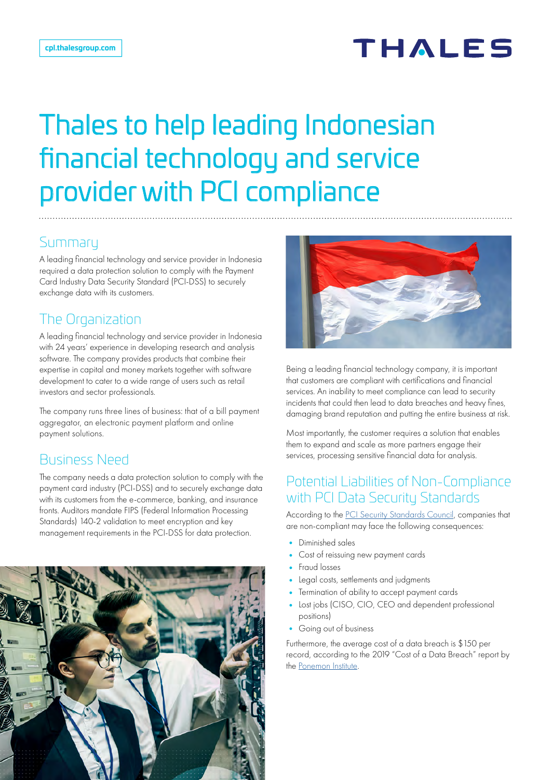# THALES

# Thales to help leading Indonesian financial technology and service provider with PCI compliance

#### Summary

A leading financial technology and service provider in Indonesia required a data protection solution to comply with the Payment Card Industry Data Security Standard (PCI-DSS) to securely exchange data with its customers.

# The Organization

A leading financial technology and service provider in Indonesia with 24 years' experience in developing research and analysis software. The company provides products that combine their expertise in capital and money markets together with software development to cater to a wide range of users such as retail investors and sector professionals.

The company runs three lines of business: that of a bill payment aggregator, an electronic payment platform and online payment solutions.

# Business Need

The company needs a data protection solution to comply with the payment card industry (PCI-DSS) and to securely exchange data with its customers from the e-commerce, banking, and insurance fronts. Auditors mandate FIPS (Federal Information Processing Standards) 140-2 validation to meet encryption and key management requirements in the PCI-DSS for data protection.





Being a leading financial technology company, it is important that customers are compliant with certifications and financial services. An inability to meet compliance can lead to security incidents that could then lead to data breaches and heavy fines, damaging brand reputation and putting the entire business at risk.

Most importantly, the customer requires a solution that enables them to expand and scale as more partners engage their services, processing sensitive financial data for analysis.

#### Potential Liabilities of Non-Compliance with PCI Data Security Standards

According to the [PCI Security Standards Council](https://urldefense.proofpoint.com/v2/url?u=https-3A__www.pcisecuritystandards.org_pci-5Fsecurity_why-5Fsecurity-5Fmatters&d=DwMGaQ&c=LoBYUov-Oqw6qun1OafgdjapE2XUoa3dJ0rTl3j_nxQ&r=UlTo72E-RAIlG5gHgMPidveLzjaafafhuLCfUANpZ-I&m=qdsmaMXU9h7urZumUqlyv7SCfYr676cM6kUPCP5eEN4&s=O3t1_-AA7qek8hAa6DCyfDY0qyukeQKNomKXu_5rfos&e=), companies that are non-compliant may face the following consequences:

- Diminished sales
- Cost of reissuing new payment cards
- Fraud losses
- Legal costs, settlements and judgments
- Termination of ability to accept payment cards
- Lost jobs (CISO, CIO, CEO and dependent professional positions)
- Going out of business

Furthermore, the average cost of a data breach is \$150 per record, according to the 2019 "Cost of a Data Breach" report by the [Ponemon Institute](https://urldefense.proofpoint.com/v2/url?u=https-3A__databreachcalculator.mybluemix.net_-3Fcm-5Fmc-5Fuid-3D04263927091915677939061-26cm-5Fmc-5Fsid-5F50200000-3D74378581567793906121-26cm-5Fmc-5Fsid-5F52640000-3D84692951567793906136&d=DwMGaQ&c=LoBYUov-Oqw6qun1OafgdjapE2XUoa3dJ0rTl3j_nxQ&r=UlTo72E-RAIlG5gHgMPidveLzjaafafhuLCfUANpZ-I&m=qdsmaMXU9h7urZumUqlyv7SCfYr676cM6kUPCP5eEN4&s=AkULazUtbS7aXau5U1kVmKLWpEvpsRXZVv1X3Sdlieg&e=).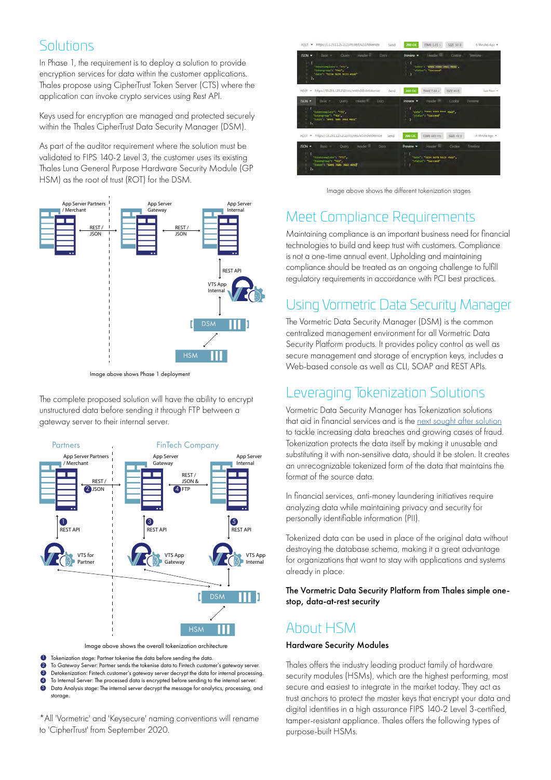#### Solutions

In Phase 1, the requirement is to deploy a solution to provide encryption services for data within the customer applications. Thales propose using CipherTrust Token Server (CTS) where the application can invoke crypto services using Rest API.

Keys used for encryption are managed and protected securely within the Thales CipherTrust Data Security Manager (DSM).

As part of the auditor requirement where the solution must be validated to FIPS 140-2 Level 3, the customer uses its existing Thales Luna General Purpose Hardware Security Module (GP HSM) as the root of trust (ROT) for the DSM.



Image above shows Phase 1 deployment

The complete proposed solution will have the ability to encrypt unstructured data before sending it through FTP between a gateway server to their internal server.



Image above shows the overall tokenization architecture

- Tokenization stage: Partner tokenise the data before sending the data. 1
- To Gateway Server: Partner sends the tokenise data to Fintech customer's gateway server. 2
- Detokenization: Fintech customer's gateway server decrypt the data for internal processing. 3

To Internal Server: The processed data is encrypted before sending to the internal server. Data Analysis stage: The internal server decrypt the message for analytics, processing, and storage. 4 5

\*All 'Vormetric' and 'Keysecure' naming conventions will rename to 'CipherTrust' from September 2020.



Image above shows the different tokenization stages

### Meet Compliance Requirements

Maintaining compliance is an important business need for financial technologies to build and keep trust with customers. Compliance is not a one-time annual event. Upholding and maintaining compliance should be treated as an ongoing challenge to fulfill regulatory requirements in accordance with PCI best practices.

# Using Vormetric Data Security Manager

The Vormetric Data Security Manager (DSM) is the common centralized management environment for all Vormetric Data Security Platform products. It provides policy control as well as secure management and storage of encryption keys, includes a Web-based console as well as CLI, SOAP and REST APIs.

## Leveraging Tokenization Solutions

Vormetric Data Security Manager has Tokenization solutions that aid in financial services and is the [next sought after solution](https://cpl.thalesgroup.com/encryption/vormetric-application-crypto-suite/vormetric-application-encryption/tokenization-data-masking) to tackle increasing data breaches and growing cases of fraud. Tokenization protects the data itself by making it unusable and substituting it with non-sensitive data, should it be stolen. It creates an unrecognizable tokenized form of the data that maintains the format of the source data.

In financial services, anti-money laundering initiatives require analyzing data while maintaining privacy and security for personally identifiable information (PII).

Tokenized data can be used in place of the original data without destroying the database schema, making it a great advantage for organizations that want to stay with applications and systems already in place.

The Vormetric Data Security Platform from Thales simple onestop, data-at-rest security

#### About HSM

#### Hardware Security Modules

Thales offers the industry leading product family of hardware security modules (HSMs), which are the highest performing, most secure and easiest to integrate in the market today. They act as trust anchors to protect the master keys that encrypt your data and digital identities in a high assurance FIPS 140-2 Level 3-certified, tamper-resistant appliance. Thales offers the following types of purpose-built HSMs.